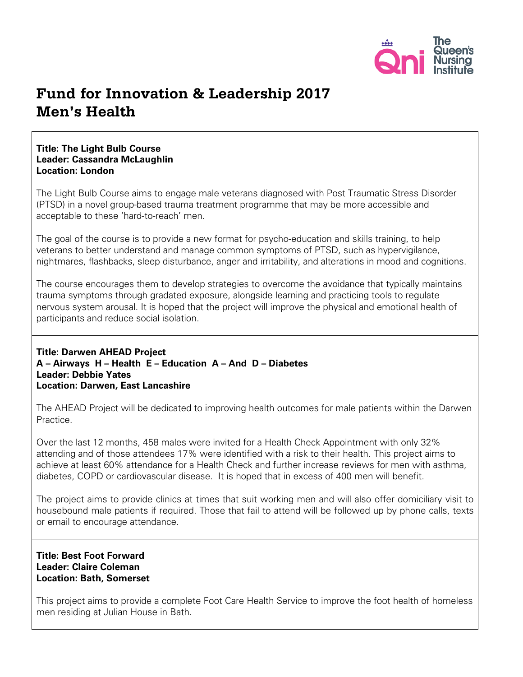

# **Fund for Innovation & Leadership 2017 Men's Health**

## **Title: The Light Bulb Course Leader: Cassandra McLaughlin Location: London**

The Light Bulb Course aims to engage male veterans diagnosed with Post Traumatic Stress Disorder (PTSD) in a novel group-based trauma treatment programme that may be more accessible and acceptable to these 'hard-to-reach' men.

The goal of the course is to provide a new format for psycho-education and skills training, to help veterans to better understand and manage common symptoms of PTSD, such as hypervigilance, nightmares, flashbacks, sleep disturbance, anger and irritability, and alterations in mood and cognitions.

The course encourages them to develop strategies to overcome the avoidance that typically maintains trauma symptoms through gradated exposure, alongside learning and practicing tools to regulate nervous system arousal. It is hoped that the project will improve the physical and emotional health of participants and reduce social isolation.

### **Title: Darwen AHEAD Project A – Airways H – Health E – Education A – And D – Diabetes Leader: Debbie Yates Location: Darwen, East Lancashire**

The AHEAD Project will be dedicated to improving health outcomes for male patients within the Darwen Practice.

Over the last 12 months, 458 males were invited for a Health Check Appointment with only 32% attending and of those attendees 17% were identified with a risk to their health. This project aims to achieve at least 60% attendance for a Health Check and further increase reviews for men with asthma, diabetes, COPD or cardiovascular disease. It is hoped that in excess of 400 men will benefit.

The project aims to provide clinics at times that suit working men and will also offer domiciliary visit to housebound male patients if required. Those that fail to attend will be followed up by phone calls, texts or email to encourage attendance.

## **Title: Best Foot Forward Leader: Claire Coleman Location: Bath, Somerset**

This project aims to provide a complete Foot Care Health Service to improve the foot health of homeless men residing at Julian House in Bath.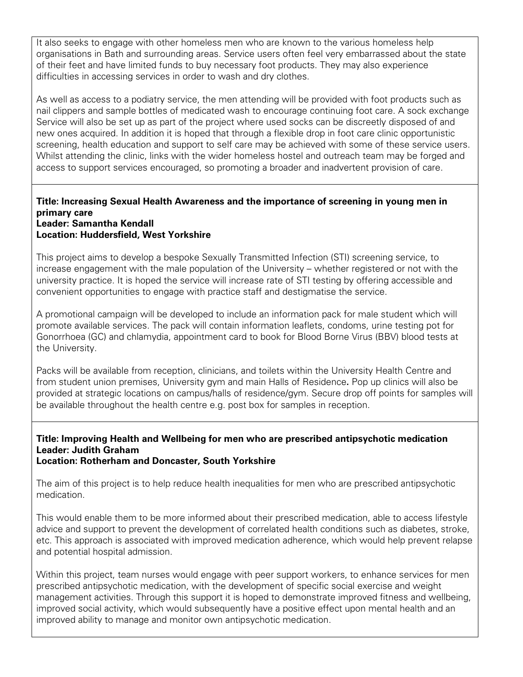It also seeks to engage with other homeless men who are known to the various homeless help organisations in Bath and surrounding areas. Service users often feel very embarrassed about the state of their feet and have limited funds to buy necessary foot products. They may also experience difficulties in accessing services in order to wash and dry clothes.

As well as access to a podiatry service, the men attending will be provided with foot products such as nail clippers and sample bottles of medicated wash to encourage continuing foot care. A sock exchange Service will also be set up as part of the project where used socks can be discreetly disposed of and new ones acquired. In addition it is hoped that through a flexible drop in foot care clinic opportunistic screening, health education and support to self care may be achieved with some of these service users. Whilst attending the clinic, links with the wider homeless hostel and outreach team may be forged and access to support services encouraged, so promoting a broader and inadvertent provision of care.

#### **Title: Increasing Sexual Health Awareness and the importance of screening in young men in primary care Leader: Samantha Kendall Location: Huddersfield, West Yorkshire**

This project aims to develop a bespoke Sexually Transmitted Infection (STI) screening service, to increase engagement with the male population of the University – whether registered or not with the university practice. It is hoped the service will increase rate of STI testing by offering accessible and convenient opportunities to engage with practice staff and destigmatise the service.

A promotional campaign will be developed to include an information pack for male student which will promote available services. The pack will contain information leaflets, condoms, urine testing pot for Gonorrhoea (GC) and chlamydia, appointment card to book for Blood Borne Virus (BBV) blood tests at the University.

Packs will be available from reception, clinicians, and toilets within the University Health Centre and from student union premises, University gym and main Halls of Residence**.** Pop up clinics will also be provided at strategic locations on campus/halls of residence/gym. Secure drop off points for samples will be available throughout the health centre e.g. post box for samples in reception.

#### **Title: Improving Health and Wellbeing for men who are prescribed antipsychotic medication Leader: Judith Graham Location: Rotherham and Doncaster, South Yorkshire**

The aim of this project is to help reduce health inequalities for men who are prescribed antipsychotic medication.

This would enable them to be more informed about their prescribed medication, able to access lifestyle advice and support to prevent the development of correlated health conditions such as diabetes, stroke, etc. This approach is associated with improved medication adherence, which would help prevent relapse and potential hospital admission.

Within this project, team nurses would engage with peer support workers, to enhance services for men prescribed antipsychotic medication, with the development of specific social exercise and weight management activities. Through this support it is hoped to demonstrate improved fitness and wellbeing, improved social activity, which would subsequently have a positive effect upon mental health and an improved ability to manage and monitor own antipsychotic medication.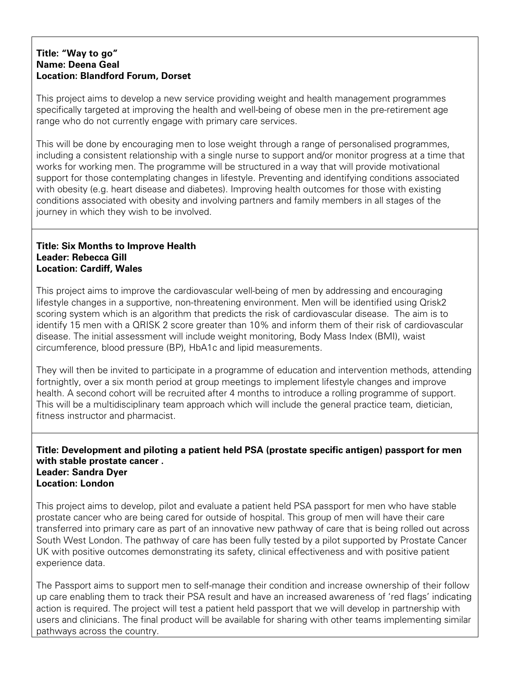### **Title: "Way to go" Name: Deena Geal Location: Blandford Forum, Dorset**

This project aims to develop a new service providing weight and health management programmes specifically targeted at improving the health and well-being of obese men in the pre-retirement age range who do not currently engage with primary care services.

This will be done by encouraging men to lose weight through a range of personalised programmes, including a consistent relationship with a single nurse to support and/or monitor progress at a time that works for working men. The programme will be structured in a way that will provide motivational support for those contemplating changes in lifestyle. Preventing and identifying conditions associated with obesity (e.g. heart disease and diabetes). Improving health outcomes for those with existing conditions associated with obesity and involving partners and family members in all stages of the journey in which they wish to be involved.

## **Title: Six Months to Improve Health Leader: Rebecca Gill Location: Cardiff, Wales**

This project aims to improve the cardiovascular well-being of men by addressing and encouraging lifestyle changes in a supportive, non-threatening environment. Men will be identified using Qrisk2 scoring system which is an algorithm that predicts the risk of [cardiovascular disease.](https://en.wikipedia.org/wiki/Cardiovascular_disease) The aim is to identify 15 men with a QRISK 2 score greater than 10% and inform them of their risk of cardiovascular disease. The initial assessment will include weight monitoring, Body Mass Index (BMI), waist circumference, blood pressure (BP), HbA1c and lipid measurements.

They will then be invited to participate in a programme of education and intervention methods, attending fortnightly, over a six month period at group meetings to implement lifestyle changes and improve health. A second cohort will be recruited after 4 months to introduce a rolling programme of support. This will be a multidisciplinary team approach which will include the general practice team, dietician, fitness instructor and pharmacist.

### **Title: Development and piloting a patient held PSA (prostate specific antigen) passport for men with stable prostate cancer . Leader: Sandra Dyer Location: London**

This project aims to develop, pilot and evaluate a patient held PSA passport for men who have stable prostate cancer who are being cared for outside of hospital. This group of men will have their care transferred into primary care as part of an innovative new pathway of care that is being rolled out across South West London. The pathway of care has been fully tested by a pilot supported by Prostate Cancer UK with positive outcomes demonstrating its safety, clinical effectiveness and with positive patient experience data.

The Passport aims to support men to self-manage their condition and increase ownership of their follow up care enabling them to track their PSA result and have an increased awareness of 'red flags' indicating action is required. The project will test a patient held passport that we will develop in partnership with users and clinicians. The final product will be available for sharing with other teams implementing similar pathways across the country.